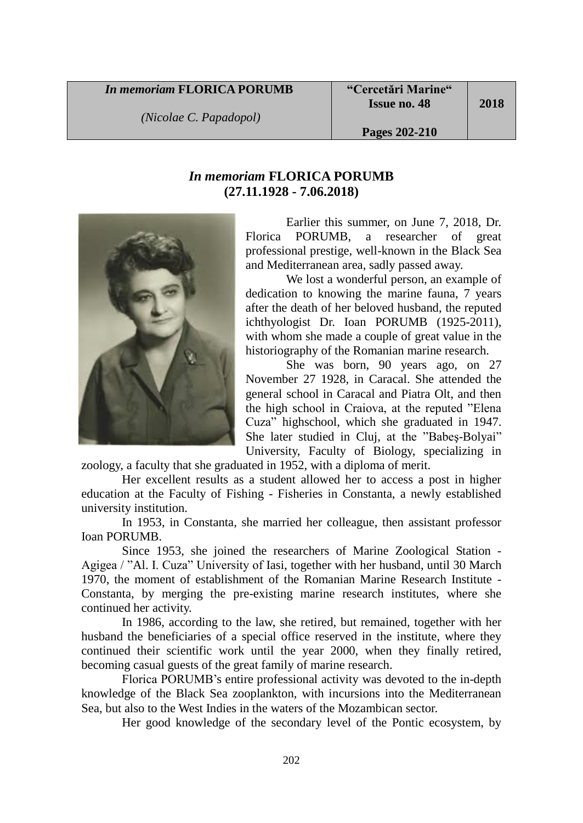## *In memoriam* **FLORICA PORUMB**

*(Nicolae C. Papadopol)*

**2018**

## *In memoriam* **FLORICA PORUMB (27.11.1928 - 7.06.2018)**



Earlier this summer, on June 7, 2018, Dr. Florica PORUMB, a researcher of great professional prestige, well-known in the Black Sea and Mediterranean area, sadly passed away.

We lost a wonderful person, an example of dedication to knowing the marine fauna, 7 years after the death of her beloved husband, the reputed ichthyologist Dr. Ioan PORUMB (1925-2011), with whom she made a couple of great value in the historiography of the Romanian marine research.

She was born, 90 years ago, on 27 November 27 1928, in Caracal. She attended the general school in Caracal and Piatra Olt, and then the high school in Craiova, at the reputed "Elena Cuza" highschool, which she graduated in 1947. She later studied in Cluj, at the "Babeş-Bolyai" University, Faculty of Biology, specializing in

zoology, a faculty that she graduated in 1952, with a diploma of merit.

Her excellent results as a student allowed her to access a post in higher education at the Faculty of Fishing - Fisheries in Constanta, a newly established university institution.

In 1953, in Constanta, she married her colleague, then assistant professor Ioan PORUMB.

Since 1953, she joined the researchers of Marine Zoological Station - Agigea / "Al. I. Cuza" University of Iasi, together with her husband, until 30 March 1970, the moment of establishment of the Romanian Marine Research Institute - Constanta, by merging the pre-existing marine research institutes, where she continued her activity.

In 1986, according to the law, she retired, but remained, together with her husband the beneficiaries of a special office reserved in the institute, where they continued their scientific work until the year 2000, when they finally retired, becoming casual guests of the great family of marine research.

Florica PORUMB's entire professional activity was devoted to the in-depth knowledge of the Black Sea zooplankton, with incursions into the Mediterranean Sea, but also to the West Indies in the waters of the Mozambican sector.

Her good knowledge of the secondary level of the Pontic ecosystem, by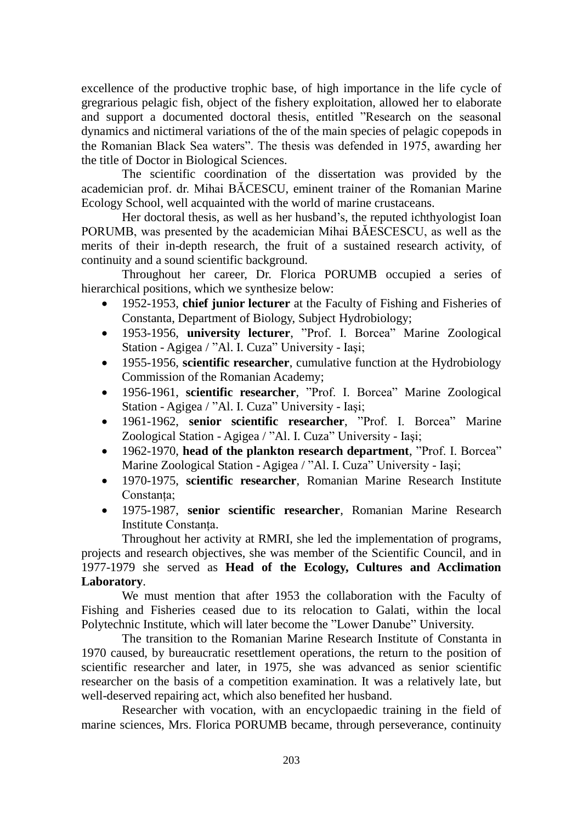excellence of the productive trophic base, of high importance in the life cycle of gregrarious pelagic fish, object of the fishery exploitation, allowed her to elaborate and support a documented doctoral thesis, entitled "Research on the seasonal dynamics and nictimeral variations of the of the main species of pelagic copepods in the Romanian Black Sea waters". The thesis was defended in 1975, awarding her the title of Doctor in Biological Sciences.

The scientific coordination of the dissertation was provided by the academician prof. dr. Mihai BĂCESCU, eminent trainer of the Romanian Marine Ecology School, well acquainted with the world of marine crustaceans.

Her doctoral thesis, as well as her husband's, the reputed ichthyologist Ioan PORUMB, was presented by the academician Mihai BĂESCESCU, as well as the merits of their in-depth research, the fruit of a sustained research activity, of continuity and a sound scientific background.

Throughout her career, Dr. Florica PORUMB occupied a series of hierarchical positions, which we synthesize below:

- 1952-1953, **chief junior lecturer** at the Faculty of Fishing and Fisheries of Constanta, Department of Biology, Subject Hydrobiology;
- 1953-1956, **university lecturer**, "Prof. I. Borcea" Marine Zoological Station - Agigea / "Al. I. Cuza" University - Iaşi;
- 1955-1956, **scientific researcher**, cumulative function at the Hydrobiology Commission of the Romanian Academy;
- 1956-1961, **scientific researcher**, "Prof. I. Borcea" Marine Zoological Station - Agigea / "Al. I. Cuza" University - Iaşi;
- 1961-1962, **senior scientific researcher**, "Prof. I. Borcea" Marine Zoological Station - Agigea / "Al. I. Cuza" University - Iaşi;
- 1962-1970, **head of the plankton research department**, "Prof. I. Borcea" Marine Zoological Station - Agigea / "Al. I. Cuza" University - Iaşi;
- 1970-1975, **scientific researcher**, Romanian Marine Research Institute Constanța;
- 1975-1987, **senior scientific researcher**, Romanian Marine Research Institute Constanța.

Throughout her activity at RMRI, she led the implementation of programs, projects and research objectives, she was member of the Scientific Council, and in 1977-1979 she served as **Head of the Ecology, Cultures and Acclimation Laboratory**.

We must mention that after 1953 the collaboration with the Faculty of Fishing and Fisheries ceased due to its relocation to Galati, within the local Polytechnic Institute, which will later become the "Lower Danube" University.

The transition to the Romanian Marine Research Institute of Constanta in 1970 caused, by bureaucratic resettlement operations, the return to the position of scientific researcher and later, in 1975, she was advanced as senior scientific researcher on the basis of a competition examination. It was a relatively late, but well-deserved repairing act, which also benefited her husband.

Researcher with vocation, with an encyclopaedic training in the field of marine sciences, Mrs. Florica PORUMB became, through perseverance, continuity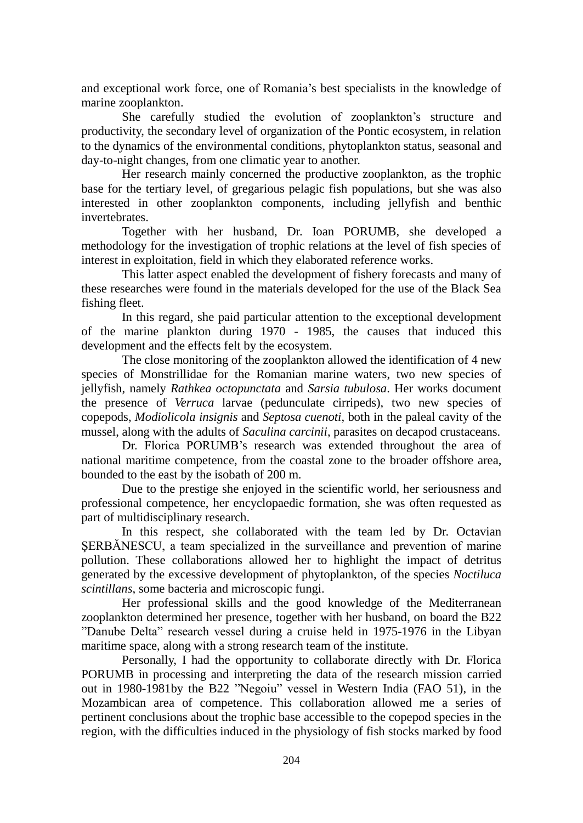and exceptional work force, one of Romania's best specialists in the knowledge of marine zooplankton.

She carefully studied the evolution of zooplankton's structure and productivity, the secondary level of organization of the Pontic ecosystem, in relation to the dynamics of the environmental conditions, phytoplankton status, seasonal and day-to-night changes, from one climatic year to another.

Her research mainly concerned the productive zooplankton, as the trophic base for the tertiary level, of gregarious pelagic fish populations, but she was also interested in other zooplankton components, including jellyfish and benthic invertebrates.

Together with her husband, Dr. Ioan PORUMB, she developed a methodology for the investigation of trophic relations at the level of fish species of interest in exploitation, field in which they elaborated reference works.

This latter aspect enabled the development of fishery forecasts and many of these researches were found in the materials developed for the use of the Black Sea fishing fleet.

In this regard, she paid particular attention to the exceptional development of the marine plankton during 1970 - 1985, the causes that induced this development and the effects felt by the ecosystem.

The close monitoring of the zooplankton allowed the identification of 4 new species of Monstrillidae for the Romanian marine waters, two new species of jellyfish, namely *Rathkea octopunctata* and *Sarsia tubulosa*. Her works document the presence of *Verruca* larvae (pedunculate cirripeds), two new species of copepods, *Modiolicola insignis* and *Septosa cuenoti*, both in the paleal cavity of the mussel, along with the adults of *Saculina carcinii*, parasites on decapod crustaceans.

Dr. Florica PORUMB's research was extended throughout the area of national maritime competence, from the coastal zone to the broader offshore area, bounded to the east by the isobath of 200 m.

Due to the prestige she enjoyed in the scientific world, her seriousness and professional competence, her encyclopaedic formation, she was often requested as part of multidisciplinary research.

In this respect, she collaborated with the team led by Dr. Octavian ŞERBĂNESCU, a team specialized in the surveillance and prevention of marine pollution. These collaborations allowed her to highlight the impact of detritus generated by the excessive development of phytoplankton, of the species *Noctiluca scintillans*, some bacteria and microscopic fungi.

Her professional skills and the good knowledge of the Mediterranean zooplankton determined her presence, together with her husband, on board the B22 "Danube Delta" research vessel during a cruise held in 1975-1976 in the Libyan maritime space, along with a strong research team of the institute.

Personally, I had the opportunity to collaborate directly with Dr. Florica PORUMB in processing and interpreting the data of the research mission carried out in 1980-1981by the B22 "Negoiu" vessel in Western India (FAO 51), in the Mozambican area of competence. This collaboration allowed me a series of pertinent conclusions about the trophic base accessible to the copepod species in the region, with the difficulties induced in the physiology of fish stocks marked by food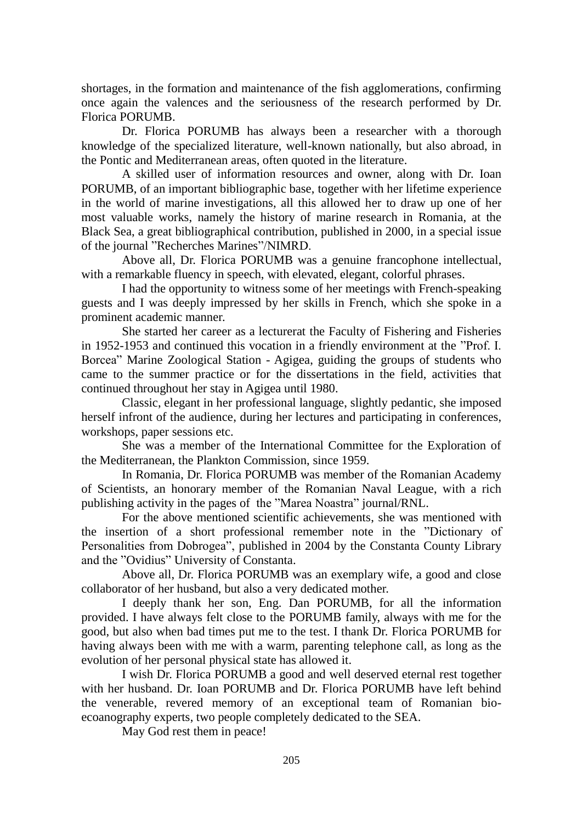shortages, in the formation and maintenance of the fish agglomerations, confirming once again the valences and the seriousness of the research performed by Dr. Florica PORUMB.

Dr. Florica PORUMB has always been a researcher with a thorough knowledge of the specialized literature, well-known nationally, but also abroad, in the Pontic and Mediterranean areas, often quoted in the literature.

A skilled user of information resources and owner, along with Dr. Ioan PORUMB, of an important bibliographic base, together with her lifetime experience in the world of marine investigations, all this allowed her to draw up one of her most valuable works, namely the history of marine research in Romania, at the Black Sea, a great bibliographical contribution, published in 2000, in a special issue of the journal "Recherches Marines"/NIMRD.

Above all, Dr. Florica PORUMB was a genuine francophone intellectual, with a remarkable fluency in speech, with elevated, elegant, colorful phrases.

I had the opportunity to witness some of her meetings with French-speaking guests and I was deeply impressed by her skills in French, which she spoke in a prominent academic manner.

She started her career as a lecturerat the Faculty of Fishering and Fisheries in 1952-1953 and continued this vocation in a friendly environment at the "Prof. I. Borcea" Marine Zoological Station - Agigea, guiding the groups of students who came to the summer practice or for the dissertations in the field, activities that continued throughout her stay in Agigea until 1980.

Classic, elegant in her professional language, slightly pedantic, she imposed herself infront of the audience, during her lectures and participating in conferences, workshops, paper sessions etc.

She was a member of the International Committee for the Exploration of the Mediterranean, the Plankton Commission, since 1959.

In Romania, Dr. Florica PORUMB was member of the Romanian Academy of Scientists, an honorary member of the Romanian Naval League, with a rich publishing activity in the pages of the "Marea Noastra" journal/RNL.

For the above mentioned scientific achievements, she was mentioned with the insertion of a short professional remember note in the "Dictionary of Personalities from Dobrogea", published in 2004 by the Constanta County Library and the "Ovidius" University of Constanta.

Above all, Dr. Florica PORUMB was an exemplary wife, a good and close collaborator of her husband, but also a very dedicated mother.

I deeply thank her son, Eng. Dan PORUMB, for all the information provided. I have always felt close to the PORUMB family, always with me for the good, but also when bad times put me to the test. I thank Dr. Florica PORUMB for having always been with me with a warm, parenting telephone call, as long as the evolution of her personal physical state has allowed it.

I wish Dr. Florica PORUMB a good and well deserved eternal rest together with her husband. Dr. Ioan PORUMB and Dr. Florica PORUMB have left behind the venerable, revered memory of an exceptional team of Romanian bioecoanography experts, two people completely dedicated to the SEA.

May God rest them in peace!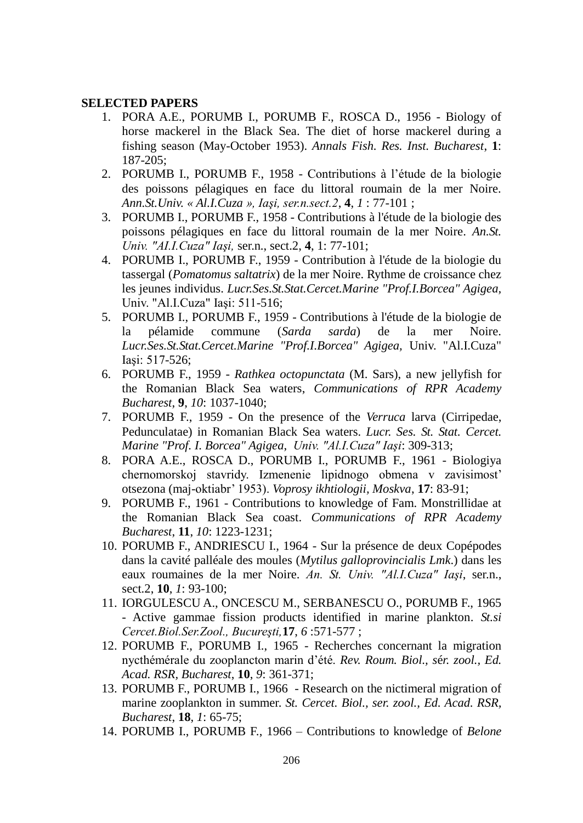## **SELECTED PAPERS**

- 1. PORA A.E., PORUMB I., PORUMB F., ROSCA D., 1956 Biology of horse mackerel in the Black Sea. The diet of horse mackerel during a fishing season (May-October 1953). *Annals Fish. Res. Inst. Bucharest*, **1**: 187-205;
- 2. PORUMB I., PORUMB F., 1958 Contributions à l'étude de la biologie des poissons pélagiques en face du littoral roumain de la mer Noire. *Ann.St.Univ. « Al.I.Cuza », Iaşi, ser.n.sect.2*, **4**, *1* : 77-101 ;
- 3. PORUMB I., PORUMB F., 1958 Contributions à l'étude de la biologie des poissons pélagiques en face du littoral roumain de la mer Noire. *An.St. Univ. "AI.I.Cuza" Iaşi,* ser.n., sect.2, **4**, 1: 77-101;
- 4. PORUMB I., PORUMB F., 1959 Contribution à l'étude de la biologie du tassergal (*Pomatomus saltatrix*) de la mer Noire. Rythme de croissance chez les jeunes individus. *Lucr.Ses.St.Stat.Cercet.Marine "Prof.I.Borcea" Agigea,* Univ. "Al.I.Cuza" Iaşi: 511-516;
- 5. PORUMB I., PORUMB F., 1959 Contributions à l'étude de la biologie de la pélamide commune (*Sarda sarda*) de la mer Noire. *Lucr.Ses.St.Stat.Cercet.Marine "Prof.I.Borcea" Agigea,* Univ. "Al.I.Cuza" Iaşi: 517-526;
- 6. PORUMB F., 1959 *Rathkea octopunctata* (M. Sars), a new jellyfish for the Romanian Black Sea waters, *Communications of RPR Academy Bucharest*, **9**, *10*: 1037-1040;
- 7. PORUMB F., 1959 On the presence of the *Verruca* larva (Cirripedae, Pedunculatae) in Romanian Black Sea waters. *Lucr. Ses. St. Stat. Cercet. Marine "Prof. I. Borcea" Agigea*, *Univ. "Al.I.Cuza" Iaşi*: 309-313;
- 8. PORA A.E., ROSCA D., PORUMB I., PORUMB F., 1961 Biologiya chernomorskoj stavridy. Izmenenie lipidnogo obmena v zavisimost' otsezona (maj-oktiabr' 1953). *Voprosy ikhtiologii, Moskva*, **17**: 83-91;
- 9. PORUMB F., 1961 Contributions to knowledge of Fam. Monstrillidae at the Romanian Black Sea coast. *Communications of RPR Academy Bucharest*, **11**, *10*: 1223-1231;
- 10. PORUMB F., ANDRIESCU I., 1964 Sur la présence de deux Copépodes dans la cavité palléale des moules (*Mytilus galloprovincialis Lmk*.) dans les eaux roumaines de la mer Noire. *An. St. Univ. "Al.I.Cuza" Iaşi*, ser.n., sect.2, **10**, *1*: 93-100;
- 11. IORGULESCU A., ONCESCU M., SERBANESCU O., PORUMB F., 1965 - Active gammae fission products identified in marine plankton. *St.si Cercet.Biol.Ser.Zool., Bucureşti,***17**, *6* :571-577 ;
- 12. PORUMB F., PORUMB I., 1965 Recherches concernant la migration nycthémérale du zooplancton marin d'été. *Rev. Roum. Biol., s*é*r. zool., Ed. Acad. RSR, Bucharest*, **10**, *9*: 361-371;
- 13. PORUMB F., PORUMB I., 1966 Research on the nictimeral migration of marine zooplankton in summer. *St. Cercet. Biol., ser. zool., Ed. Acad. RSR, Bucharest*, **18**, *1*: 65-75;
- 14. PORUMB I., PORUMB F., 1966 Contributions to knowledge of *Belone*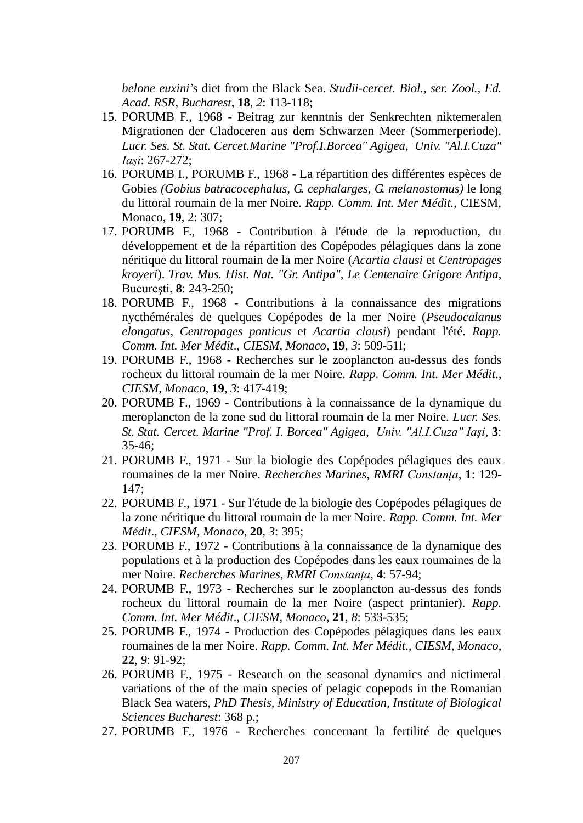*belone euxini*'s diet from the Black Sea. *Studii-cercet. Biol., ser. Zool., Ed. Acad. RSR, Bucharest*, **18**, *2*: 113-118;

- 15. PORUMB F., 1968 Beitrag zur kenntnis der Senkrechten niktemeralen Migrationen der Cladoceren aus dem Schwarzen Meer (Sommerperiode). *Lucr. Ses. St. Stat. Cercet.Marine "Prof.I.Borcea" Agigea*, *Univ. "Al.I.Cuza" Iaşi*: 267-272;
- 16. PORUMB I., PORUMB F., 1968 La répartition des différentes espèces de Gobies *(Gobius batracocephalus, G. cephalarges, G. melanostomus)* le long du littoral roumain de la mer Noire. *Rapp. Comm. Int. Mer Médit.,* CIESM, Monaco, **19**, 2: 307;
- 17. PORUMB F., 1968 Contribution à l'étude de la reproduction, du développement et de la répartition des Copépodes pélagiques dans la zone néritique du littoral roumain de la mer Noire (*Acartia clausi* et *Centropages kroyeri*). *Trav. Mus. Hist. Nat. "Gr. Antipa", Le Centenaire Grigore Antipa*, Bucureşti, **8**: 243-250;
- 18. PORUMB F., 1968 Contributions à la connaissance des migrations nycthémérales de quelques Copépodes de la mer Noire (*Pseudocalanus elongatus, Centropages ponticus* et *Acartia clausi*) pendant l'été. *Rapp. Comm. Int. Mer Médit*., *CIESM, Monaco*, **19**, *3*: 509-51l;
- 19. PORUMB F., 1968 Recherches sur le zooplancton au-dessus des fonds rocheux du littoral roumain de la mer Noire. *Rapp. Comm. Int. Mer Médit*., *CIESM, Monaco*, **19**, *3*: 417-419;
- 20. PORUMB F., 1969 Contributions à la connaissance de la dynamique du meroplancton de la zone sud du littoral roumain de la mer Noire. *Lucr. Ses. St. Stat. Cercet. Marine "Prof. I. Borcea" Agigea*, *Univ. "Al.I.Cuza" Iaşi*, **3**:  $35-46$ :
- 21. PORUMB F., 1971 Sur la biologie des Copépodes pélagiques des eaux roumaines de la mer Noire. *Recherches Marines*, *RMRI Constanța*, **1**: 129- 147;
- 22. PORUMB F., 1971 Sur l'étude de la biologie des Copépodes pélagiques de la zone néritique du littoral roumain de la mer Noire. *Rapp. Comm. Int. Mer Médit*., *CIESM, Monaco*, **20**, *3*: 395;
- 23. PORUMB F., 1972 Contributions à la connaissance de la dynamique des populations et à la production des Copépodes dans les eaux roumaines de la mer Noire. *Recherches Marines, RMRI Constanța*, **4**: 57-94;
- 24. PORUMB F., 1973 Recherches sur le zooplancton au-dessus des fonds rocheux du littoral roumain de la mer Noire (aspect printanier). *Rapp. Comm. Int. Mer Médit*., *CIESM, Monaco*, **21**, *8*: 533-535;
- 25. PORUMB F., 1974 Production des Copépodes pélagiques dans les eaux roumaines de la mer Noire. *Rapp. Comm. Int. Mer Médit*., *CIESM, Monaco*, **22**, *9*: 91-92;
- 26. PORUMB F., 1975 Research on the seasonal dynamics and nictimeral variations of the of the main species of pelagic copepods in the Romanian Black Sea waters, *PhD Thesis, Ministry of Education, Institute of Biological Sciences Bucharest*: 368 p.;
- 27. PORUMB F., 1976 Recherches concernant la fertilité de quelques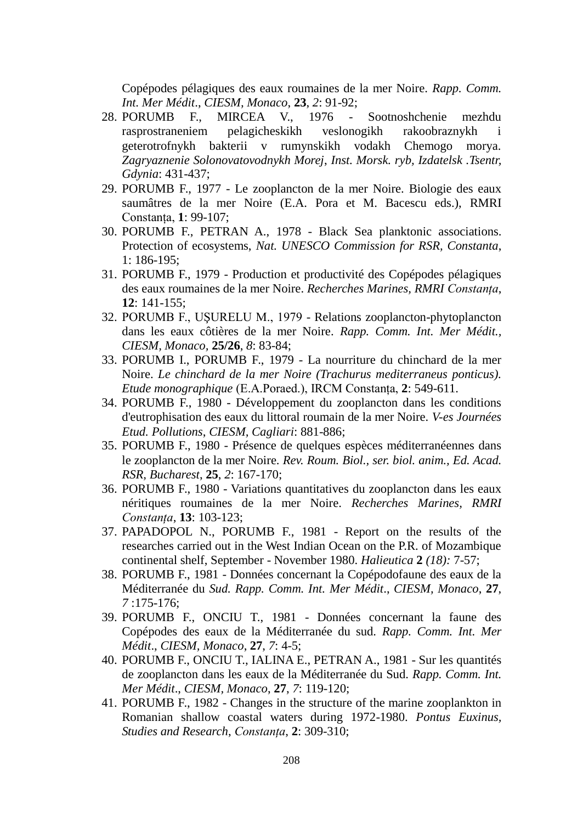Copépodes pélagiques des eaux roumaines de la mer Noire. *Rapp. Comm. Int. Mer Médit*., *CIESM, Monaco*, **23**, *2*: 91-92;

- 28. PORUMB F., MIRCEA V., 1976 Sootnoshchenie mezhdu rasprostraneniem pelagicheskikh veslonogikh rakoobraznykh i geterotrofnykh bakterii v rumynskikh vodakh Chemogo morya. *Zagryaznenie Solonovatovodnykh Morej*, *Inst. Morsk. ryb, Izdatelsk .Tsentr, Gdynia*: 431-437;
- 29. PORUMB F., 1977 Le zooplancton de la mer Noire. Biologie des eaux saumâtres de la mer Noire (E.A. Pora et M. Bacescu eds.), RMRI Constanța, **1**: 99-107;
- 30. PORUMB F., PETRAN A., 1978 Black Sea planktonic associations. Protection of ecosystems, *Nat. UNESCO Commission for RSR, Constanta*, 1: 186-195;
- 31. PORUMB F., 1979 Production et productivité des Copépodes pélagiques des eaux roumaines de la mer Noire. *Recherches Marines, RMRI Constanța*, **12**: 141-155;
- 32. PORUMB F., UŞURELU M., 1979 Relations zooplancton-phytoplancton dans les eaux côtières de la mer Noire. *Rapp. Comm. Int. Mer Médit., CIESM, Monaco,* **25/26**, *8*: 83-84;
- 33. PORUMB I., PORUMB F., 1979 La nourriture du chinchard de la mer Noire. *Le chinchard de la mer Noire (Trachurus mediterraneus ponticus). Etude monographique* (E.A.Poraed.), IRCM Constanța, **2**: 549-611.
- 34. PORUMB F., 1980 Développement du zooplancton dans les conditions d'eutrophisation des eaux du littoral roumain de la mer Noire. *V-es Journées Etud. Pollutions*, *CIESM, Cagliari*: 881-886;
- 35. PORUMB F., 1980 Présence de quelques espèces méditerranéennes dans le zooplancton de la mer Noire. *Rev. Roum. Biol., ser. biol. anim., Ed. Acad. RSR, Bucharest*, **25**, *2*: 167-170;
- 36. PORUMB F., 1980 Variations quantitatives du zooplancton dans les eaux néritiques roumaines de la mer Noire. *Recherches Marines, RMRI Constanța*, **13**: 103-123;
- 37. PAPADOPOL N., PORUMB F., 1981 Report on the results of the researches carried out in the West Indian Ocean on the P.R. of Mozambique continental shelf, September - November 1980. *Halieutica* **2** *(18):* 7-57;
- 38. PORUMB F., 1981 Données concernant la Copépodofaune des eaux de la Méditerranée du *Sud. Rapp. Comm. Int. Mer Médit*., *CIESM, Monaco*, **27**, *7* :175-176;
- 39. PORUMB F., ONCIU T., 1981 Données concernant la faune des Copépodes des eaux de la Méditerranée du sud. *Rapp. Comm. Int. Mer Médit*., *CIESM, Monaco*, **27**, *7*: 4-5;
- 40. PORUMB F., ONCIU T., IALINA E., PETRAN A., 1981 Sur les quantités de zooplancton dans les eaux de la Méditerranée du Sud. *Rapp. Comm. Int. Mer Médit*., *CIESM, Monaco*, **27**, *7*: 119-120;
- 41. PORUMB F., 1982 Changes in the structure of the marine zooplankton in Romanian shallow coastal waters during 1972-1980. *Pontus Euxinus, Studies and Research*, *Constanța*, **2**: 309-310;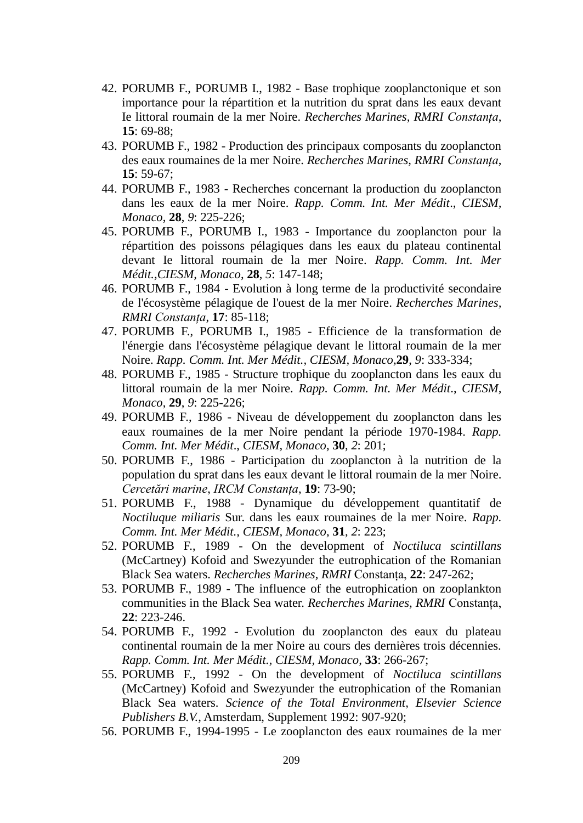- 42. PORUMB F., PORUMB I., 1982 Base trophique zooplanctonique et son importance pour la répartition et la nutrition du sprat dans les eaux devant Ie littoral roumain de la mer Noire. *Recherches Marines, RMRI Constanța*, **15**: 69-88;
- 43. PORUMB F., 1982 Production des principaux composants du zooplancton des eaux roumaines de la mer Noire. *Recherches Marines, RMRI Constanța*, **15**: 59-67;
- 44. PORUMB F., 1983 Recherches concernant la production du zooplancton dans les eaux de la mer Noire. *Rapp. Comm. Int. Mer Médit*., *CIESM, Monaco*, **28**, *9*: 225-226;
- 45. PORUMB F., PORUMB I., 1983 Importance du zooplancton pour la répartition des poissons pélagiques dans les eaux du plateau continental devant Ie littoral roumain de la mer Noire. *Rapp. Comm. Int. Mer Médit.,CIESM, Monaco*, **28**, *5*: 147-148;
- 46. PORUMB F., 1984 Evolution à long terme de la productivité secondaire de l'écosystème pélagique de l'ouest de la mer Noire. *Recherches Marines, RMRI Constanța*, **17**: 85-118;
- 47. PORUMB F., PORUMB I., 1985 Efficience de la transformation de l'énergie dans l'écosystème pélagique devant le littoral roumain de la mer Noire. *Rapp. Comm. Int. Mer Médit., CIESM, Monaco,***29**, *9*: 333-334;
- 48. PORUMB F., 1985 Structure trophique du zooplancton dans les eaux du littoral roumain de la mer Noire. *Rapp. Comm. Int. Mer Médit*., *CIESM, Monaco*, **29**, *9*: 225-226;
- 49. PORUMB F., 1986 Niveau de développement du zooplancton dans les eaux roumaines de la mer Noire pendant la période 1970-1984. *Rapp. Comm. Int. Mer Médit*., *CIESM, Monaco*, **30**, *2*: 201;
- 50. PORUMB F., 1986 Participation du zooplancton à la nutrition de la population du sprat dans les eaux devant le littoral roumain de la mer Noire. *Cercetări marine*, *IRCM Constanța*, **19**: 73-90;
- 51. PORUMB F., 1988 Dynamique du développement quantitatif de *Noctiluque miliaris* Sur. dans les eaux roumaines de la mer Noire. *Rapp. Comm. Int. Mer Médit., CIESM, Monaco*, **31**, *2*: 223;
- 52. PORUMB F., 1989 On the development of *Noctiluca scintillans* (McCartney) Kofoid and Swezyunder the eutrophication of the Romanian Black Sea waters. *Recherches Marines, RMRI* Constanța, **22**: 247-262;
- 53. PORUMB F., 1989 The influence of the eutrophication on zooplankton communities in the Black Sea water. *Recherches Marines, RMRI* Constanța, **22**: 223-246.
- 54. PORUMB F., 1992 Evolution du zooplancton des eaux du plateau continental roumain de la mer Noire au cours des dernières trois décennies. *Rapp. Comm. Int. Mer Médit., CIESM, Monaco*, **33**: 266-267;
- 55. PORUMB F., 1992 On the development of *Noctiluca scintillans* (McCartney) Kofoid and Swezyunder the eutrophication of the Romanian Black Sea waters. *Science of the Total Environment, Elsevier Science Publishers B.V.*, Amsterdam, Supplement 1992: 907-920;
- 56. PORUMB F., 1994-1995 Le zooplancton des eaux roumaines de la mer